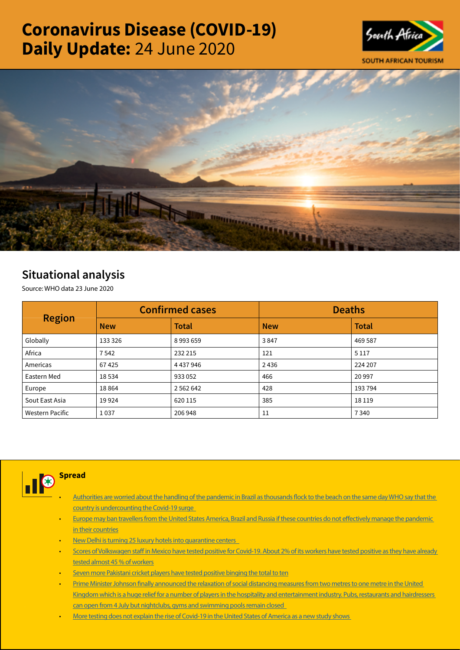# Coronavirus Disease (COVID-19) Daily Update: 24 June 2020





# Situational analysis

Source: WHO data 23 June 2020

| <b>Region</b>   |            | <b>Confirmed cases</b> | <b>Deaths</b> |              |  |
|-----------------|------------|------------------------|---------------|--------------|--|
|                 | <b>New</b> | <b>Total</b>           | <b>New</b>    | <b>Total</b> |  |
| Globally        | 133 326    | 8993659                | 3847          | 469 587      |  |
| Africa          | 7542       | 232 215                | 121           | 5 1 1 7      |  |
| Americas        | 67425      | 4 4 3 7 9 4 6          | 2436          | 224 207      |  |
| Eastern Med     | 18534      | 933052                 | 466           | 20 997       |  |
| Europe          | 18864      | 2 5 6 2 6 4 2          | 428           | 193 794      |  |
| Sout East Asia  | 19924      | 620 115                | 385           | 18 1 19      |  |
| Western Pacific | 1037       | 206 948                | 11            | 7340         |  |



### • [Authorities are worried about the handling of the pandemic in Brazil as thousands flock to the beach on the same day WHO say that the](https://t.co/aNyDV4rRwF?amp=1)  [country is undercounting the Covid-19 surge](https://t.co/aNyDV4rRwF?amp=1)

- Europe may ban travellers from the United States America, Brazil and Russia if these countries do not effectively manage the pandemic [in their countries](https://is.gd/x9Bz8J)
- [New Delhi is turning 25 luxury hotels into quarantine centers](https://is.gd/Bo2TYU)
- [Scores of Volkswagen staff in Mexico have tested positive for Covid-19. About 2% of its workers have tested positive as they have already](https://t.co/TmlvHN6A0A?amp=1)  [tested almost 45 % of workers](https://t.co/TmlvHN6A0A?amp=1)
- Seven more Pakistani cricket players have tested positive binging the total to ten
- Prime Minister Johnson finally announced the relaxation of social distancing measures from two metres to one metre in the United Kingdom which is a huge relief for a number of players in the hospitality and entertainment industry. Pubs, restaurants and hairdressers [can open from 4 July but nightclubs, gyms and swimming pools remain closed](https://t.co/D5Be4ZZ8pq?amp=1)
- [More testing does not explain the rise of Covid-19 in the United States of America as a new study shows](https://t.co/kF9lHb0WzX?amp=1)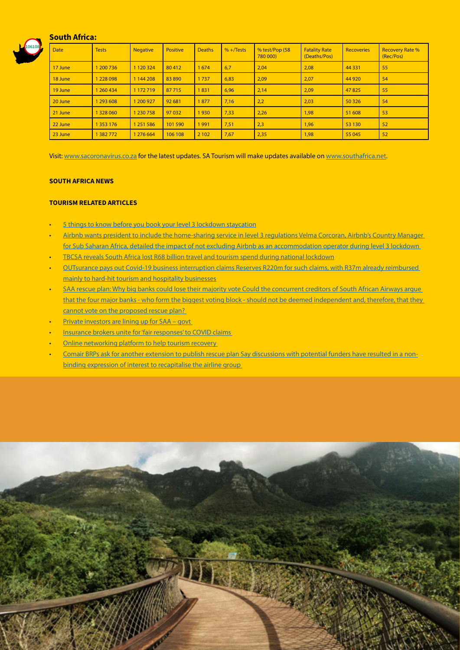## South Africa:



| <b>Date</b> | <b>Tests</b> | <b>Negative</b> | <b>Positive</b> | <b>Deaths</b> | $% +$ Tests | % test/Pop (58<br>780 000) | <b>Fatality Rate</b><br>(Deaths/Pos) | <b>Recoveries</b> | <b>Recovery Rate %</b><br>(Rec/Pos) |
|-------------|--------------|-----------------|-----------------|---------------|-------------|----------------------------|--------------------------------------|-------------------|-------------------------------------|
| 17 June     | 1 200 736    | 1 1 20 3 24     | 80 412          | 1674          | 6,7         | 2,04                       | 2,08                                 | 44 3 3 1          | 55                                  |
| 18 June     | 1228098      | 1 144 208       | 83 890          | 1737          | 6,83        | 2,09                       | 2,07                                 | 44 9 20           | 54                                  |
| 19 June     | 1 260 434    | 1 172 719       | 87715           | 1831          | 6,96        | 2,14                       | 2,09                                 | 47825             | 55                                  |
| 20 June     | 1 293 608    | 1 200 927       | 92 681          | 1877          | 7,16        | 2,2                        | 2,03                                 | 50 3 26           | 54                                  |
| 21 June     | 328 060      | 1 230 758       | 97 032          | 1930          | 7,33        | 2,26                       | 1,98                                 | 51 608            | 53                                  |
| 22 June     | 1 353 176    | 1 251 586       | 101 590         | 1991          | 7,51        | 2,3                        | 1,96                                 | 53 130            | 52                                  |
| 23 June     | 382772       | 1 276 664       | 106 108         | 2 1 0 2       | 7,67        | 2,35                       | 1,98                                 | 55 045            | 52                                  |

Visit: [www.sacoronavirus.co.za](http://www.sacoronavirus.co.za) for the latest updates. SA Tourism will make updates available on [www.southafrica.net.](http://www.southafrica.net)

#### SOUTH AFRICA NEWS

#### TOURISM RELATED ARTICLES

- [5 things to know before you book your level 3 lockdown staycation](https://www.iol.co.za/travel/travel-tips/5-things-to-know-before-you-book-your-level-3-lockdown-staycation-49781411)
- [Airbnb wants president to include the home-sharing service in level 3 regulations Velma Corcoran, Airbnb's Country Manager](https://www.iol.co.za/travel/south-africa/airbnb-wants-president-to-include-the-home-sharing-service-in-level-3-regulations-49835214)  [for Sub Saharan Africa, detailed the impact of not excluding Airbnb as an accommodation operator during level 3 lockdown](https://www.iol.co.za/travel/south-africa/airbnb-wants-president-to-include-the-home-sharing-service-in-level-3-regulations-49835214)
- [TBCSA reveals South Africa lost R68 billion travel and tourism spend during national lockdown](https://www.iol.co.za/travel/travel-news/tbcsa-reveals-south-africa-lost-r68-billion-travel-and-tourism-spend-during-national-lockdown-49782818)
- [OUTsurance pays out Covid-19 business interruption claims Reserves R220m for such claims, with R37m already reimbursed](https://www.moneyweb.co.za/news/companies-and-deals/outsurance-pays-out-covid-19-business-interruption-claims/)  [mainly to hard-hit tourism and hospitality businesses](https://www.moneyweb.co.za/news/companies-and-deals/outsurance-pays-out-covid-19-business-interruption-claims/)
- SAA rescue plan: Why big banks could lose their majority vote Could the concurrent creditors of South African Airways argue that the four major banks - who form the biggest voting block - should not be deemed independent and, therefore, that they cannot vote on the proposed rescue plan?
- [Private investors are lining up for SAA govt](http://www.tourismupdate.co.za/article/199685/Private-investors-are-lining-up-for-SAA-govt)
- Insurance brokers unite for 'fair responses' to COVID claims
- Online networking platform to help tourism recovery
- [Comair BRPs ask for another extension to publish rescue plan Say discussions with potential funders have resulted in a non](https://www.moneyweb.co.za/news/companies-and-deals/comair-brps-ask-for-another-extension-to-publish-rescue-plan/)[binding expression of interest to recapitalise the airline group](https://www.moneyweb.co.za/news/companies-and-deals/comair-brps-ask-for-another-extension-to-publish-rescue-plan/)